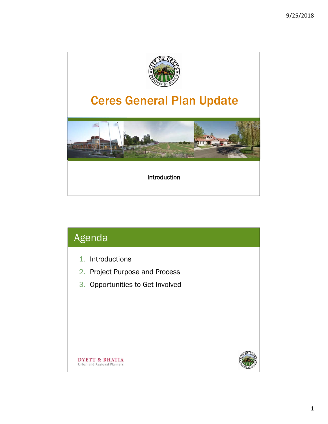

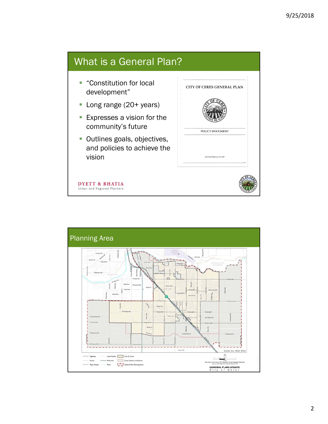### What is a General Plan? **Constitution for local** CITY OF CERES GENERAL PLAN development" ■ Long range (20+ years) **Expresses a vision for the** community's future POLICY DOCUMENT **Outlines goals, objectives,** and policies to achieve the vision **ADOPTED FEBRUARY 24, 1997 DYETT & BHATIA** Urban and Regional Planners

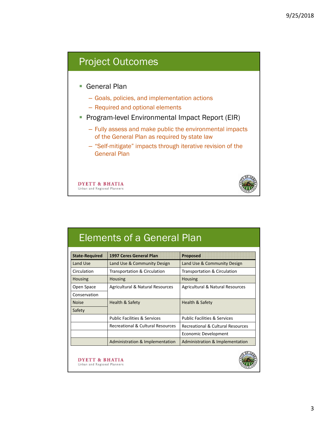### Project Outcomes

- General Plan
	- Goals, policies, and implementation actions
	- Required and optional elements
- **Program-level Environmental Impact Report (EIR)** 
	- Fully assess and make public the environmental impacts of the General Plan as required by state law
	- "Self-mitigate" impacts through iterative revision of the General Plan

**DYETT & BHATIA** Urban and Regional Planners



## Elements of a General Plan

| <b>State-Required</b> | 1997 Ceres General Plan                    | <b>Proposed</b>                            |
|-----------------------|--------------------------------------------|--------------------------------------------|
| Land Use              | Land Use & Community Design                | Land Use & Community Design                |
| Circulation           | Transportation & Circulation               | Transportation & Circulation               |
| <b>Housing</b>        | <b>Housing</b>                             | <b>Housing</b>                             |
| Open Space            | Agricultural & Natural Resources           | Agricultural & Natural Resources           |
| Conservation          |                                            |                                            |
| <b>Noise</b>          | Health & Safety                            | <b>Health &amp; Safety</b>                 |
| Safety                |                                            |                                            |
|                       | <b>Public Facilities &amp; Services</b>    | <b>Public Facilities &amp; Services</b>    |
|                       | Recreational & Cultural Resources          | Recreational & Cultural Resources          |
|                       |                                            | Economic Development                       |
|                       | <b>Administration &amp; Implementation</b> | <b>Administration &amp; Implementation</b> |

**DYETT & BHATIA** Urban and Regional Planners

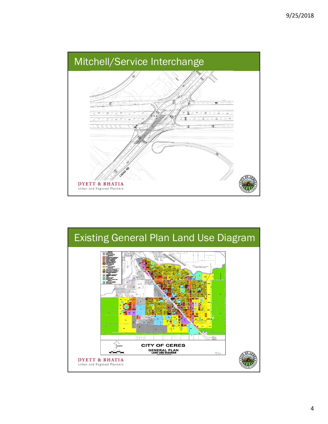

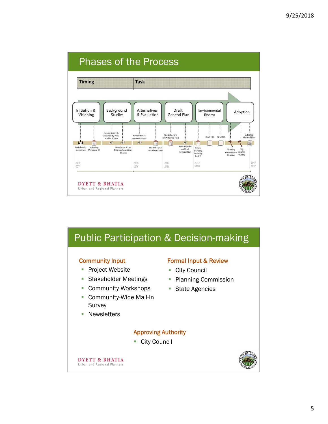

# Public Participation & Decision-making

#### Community Input

- Project Website
- **Stakeholder Meetings**
- **Community Workshops**
- Community-Wide Mail-In Survey
- **Newsletters**

#### Formal Input & Review

- City Council
- Planning Commission
- **State Agencies**

#### Approving Authority

■ City Council

**DYETT & BHATIA** Urban and Regional Planners

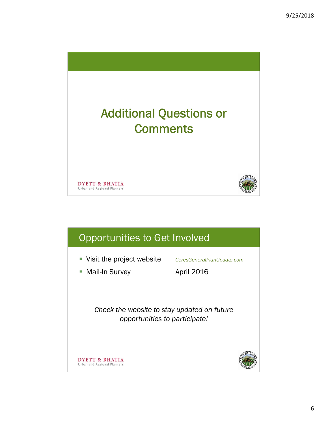